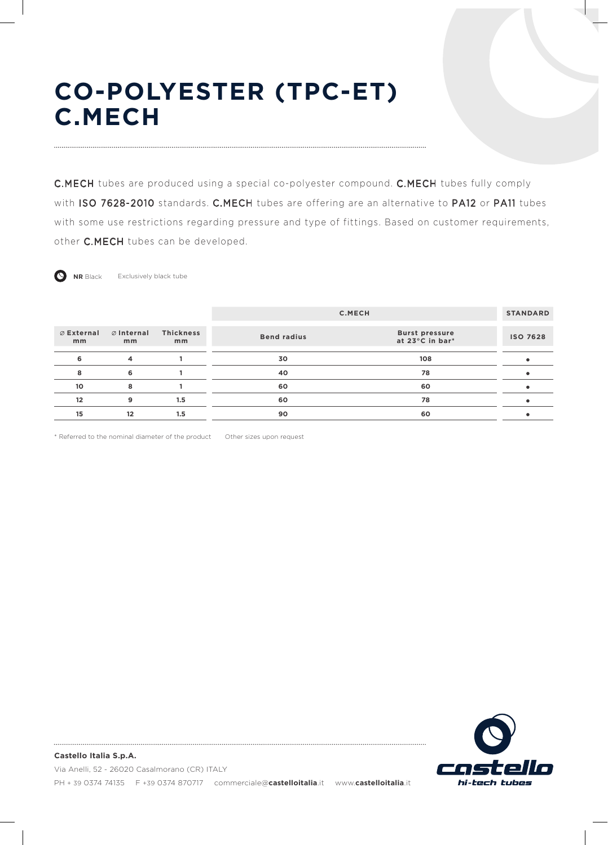# **CO-POLYESTER (TPC-ET) C.MECH**

C.MECH tubes are produced using a special co-polyester compound. C.MECH tubes fully comply with ISO 7628-2010 standards. C.MECH tubes are offering are an alternative to PA12 or PA11 tubes with some use restrictions regarding pressure and type of fittings. Based on customer requirements, other C.MECH tubes can be developed.



**NR** Black Exclusively black tube

|                            |                          |                        | C.MECH             | <b>STANDARD</b>                          |                 |
|----------------------------|--------------------------|------------------------|--------------------|------------------------------------------|-----------------|
| $\emptyset$ External<br>mm | $\oslash$ Internal<br>mm | <b>Thickness</b><br>mm | <b>Bend radius</b> | <b>Burst pressure</b><br>at 23°C in bar* | <b>ISO 7628</b> |
| 6                          | $\overline{4}$           |                        | 30                 | 108                                      |                 |
| 8                          | 6                        |                        | 40                 | 78                                       |                 |
| 10                         | 8                        |                        | 60                 | 60                                       |                 |
| 12                         | 9                        | 1.5                    | 60                 | 78                                       |                 |
| 15                         | 12                       | 1.5                    | 90                 | 60                                       |                 |
|                            |                          |                        |                    |                                          |                 |

\* Referred to the nominal diameter of the product Other sizes upon request